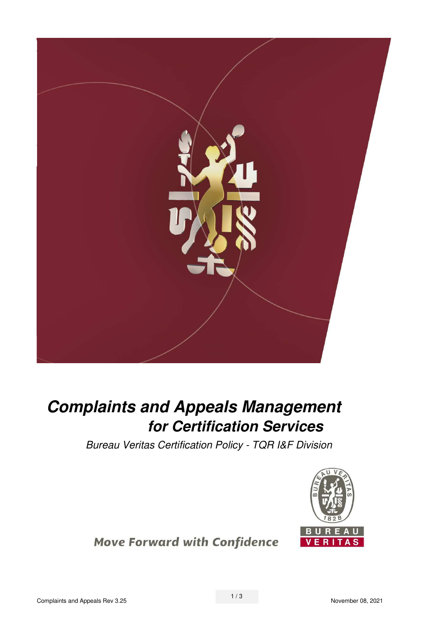

# **Complaints and Appeals Management for Certification Services**

*Bureau Veritas Certification Policy - TQR I&F Division* 



**Move Forward with Confidence**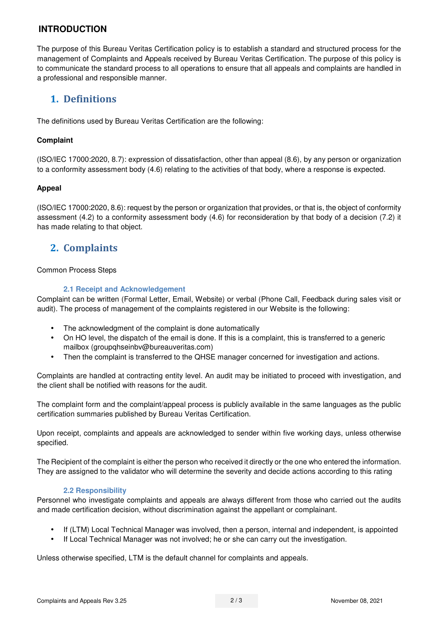### **INTRODUCTION**

The purpose of this Bureau Veritas Certification policy is to establish a standard and structured process for the management of Complaints and Appeals received by Bureau Veritas Certification. The purpose of this policy is to communicate the standard process to all operations to ensure that all appeals and complaints are handled in a professional and responsible manner.

# **1. Definitions**

The definitions used by Bureau Veritas Certification are the following:

#### **Complaint**

(ISO/IEC 17000:2020, 8.7): expression of dissatisfaction, other than appeal (8.6), by any person or organization to a conformity assessment body (4.6) relating to the activities of that body, where a response is expected.

#### **Appeal**

(ISO/IEC 17000:2020, 8.6): request by the person or organization that provides, or that is, the object of conformity assessment (4.2) to a conformity assessment body (4.6) for reconsideration by that body of a decision (7.2) it has made relating to that object.

# **2. Complaints**

#### Common Process Steps

#### **2.1 Receipt and Acknowledgement**

Complaint can be written (Formal Letter, Email, Website) or verbal (Phone Call, Feedback during sales visit or audit). The process of management of the complaints registered in our Website is the following:

- The acknowledgment of the complaint is done automatically
- On HO level, the dispatch of the email is done. If this is a complaint, this is transferred to a generic mailbox (groupghseinbv@bureauveritas.com)
- Then the complaint is transferred to the QHSE manager concerned for investigation and actions.

Complaints are handled at contracting entity level. An audit may be initiated to proceed with investigation, and the client shall be notified with reasons for the audit.

The complaint form and the complaint/appeal process is publicly available in the same languages as the public certification summaries published by Bureau Veritas Certification.

Upon receipt, complaints and appeals are acknowledged to sender within five working days, unless otherwise specified.

The Recipient of the complaint is either the person who received it directly or the one who entered the information. They are assigned to the validator who will determine the severity and decide actions according to this rating

#### **2.2 Responsibility**

Personnel who investigate complaints and appeals are always different from those who carried out the audits and made certification decision, without discrimination against the appellant or complainant.

- If (LTM) Local Technical Manager was involved, then a person, internal and independent, is appointed
- If Local Technical Manager was not involved; he or she can carry out the investigation.

Unless otherwise specified, LTM is the default channel for complaints and appeals.